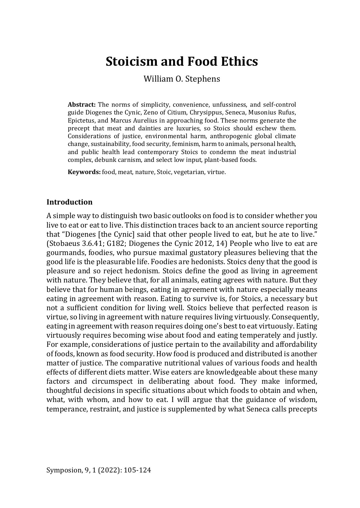# **Stoicism and Food Ethics**

William O. Stephens

**Abstract:** The norms of simplicity, convenience, unfussiness, and self-control guide Diogenes the Cynic, Zeno of Citium, Chrysippus, Seneca, Musonius Rufus, Epictetus, and Marcus Aurelius in approaching food. These norms generate the precept that meat and dainties are luxuries, so Stoics should eschew them. Considerations of justice, environmental harm, anthropogenic global climate change, sustainability, food security, feminism, harm to animals, personal health, and public health lead contemporary Stoics to condemn the meat industrial complex, debunk carnism, and select low input, plant-based foods.

**Keywords:** food, meat, nature, Stoic, vegetarian, virtue.

## **Introduction**

A simple way to distinguish two basic outlooks on food is to consider whether you live to eat or eat to live. This distinction traces back to an ancient source reporting that "Diogenes [the Cynic] said that other people lived to eat, but he ate to live." (Stobaeus 3.6.41; G182; Diogenes the Cynic 2012, 14) People who live to eat are gourmands, foodies, who pursue maximal gustatory pleasures believing that the good life is the pleasurable life. Foodies are hedonists. Stoics deny that the good is pleasure and so reject hedonism. Stoics define the good as living in agreement with nature. They believe that, for all animals, eating agrees with nature. But they believe that for human beings, eating in agreement with nature especially means eating in agreement with reason. Eating to survive is, for Stoics, a necessary but not a sufficient condition for living well. Stoics believe that perfected reason is virtue, so living in agreement with nature requires living virtuously. Consequently, eating in agreement with reason requires doing one's best to eat virtuously. Eating virtuously requires becoming wise about food and eating temperately and justly. For example, considerations of justice pertain to the availability and affordability of foods, known as food security. How food is produced and distributed is another matter of justice. The comparative nutritional values of various foods and health effects of different diets matter. Wise eaters are knowledgeable about these many factors and circumspect in deliberating about food. They make informed, thoughtful decisions in specific situations about which foods to obtain and when, what, with whom, and how to eat. I will argue that the guidance of wisdom, temperance, restraint, and justice is supplemented by what Seneca calls precepts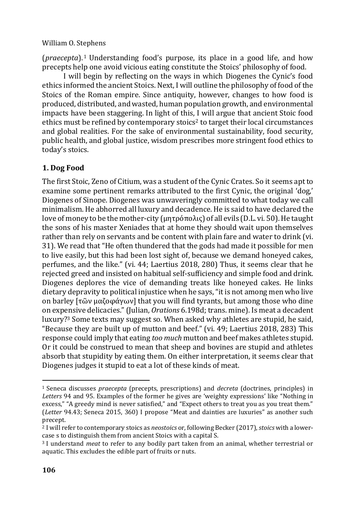(*praecepta*).<sup>1</sup> Understanding food's purpose, its place in a good life, and how precepts help one avoid vicious eating constitute the Stoics' philosophy of food.

I will begin by reflecting on the ways in which Diogenes the Cynic's food ethics informed the ancient Stoics. Next, I will outline the philosophy of food of the Stoics of the Roman empire. Since antiquity, however, changes to how food is produced, distributed, and wasted, human population growth, and environmental impacts have been staggering. In light of this, I will argue that ancient Stoic food ethics must be refined by contemporary stoics<sup>2</sup> to target their local circumstances and global realities. For the sake of environmental sustainability, food security, public health, and global justice, wisdom prescribes more stringent food ethics to today's stoics.

# **1. Dog Food**

The first Stoic, Zeno of Citium, was a student of the Cynic Crates. So it seems apt to examine some pertinent remarks attributed to the first Cynic, the original 'dog,' Diogenes of Sinope. Diogenes was unwaveringly committed to what today we call minimalism. He abhorred all luxury and decadence. He is said to have declared the love of money to be the mother-city (μητρόπολις) of all evils (D.L. vi. 50). He taught the sons of his master Xeniades that at home they should wait upon themselves rather than rely on servants and be content with plain fare and water to drink (vi. 31). We read that "He often thundered that the gods had made it possible for men to live easily, but this had been lost sight of, because we demand honeyed cakes, perfumes, and the like." (vi. 44; Laertius 2018, 280) Thus, it seems clear that he rejected greed and insisted on habitual self-sufficiency and simple food and drink. Diogenes deplores the vice of demanding treats like honeyed cakes. He links dietary depravity to political injustice when he says, "it is not among men who live on barley [τῶν μαζοφάγων] that you will find tyrants, but among those who dine on expensive delicacies." (Julian, *Orations* 6.198d; trans. mine). Is meat a decadent luxury?<sup>3</sup> Some texts may suggest so. When asked why athletes are stupid, he said, "Because they are built up of mutton and beef." (vi. 49; Laertius 2018, 283) This response could imply that eating *too much* mutton and beef makes athletes stupid. Or it could be construed to mean that sheep and bovines are stupid and athletes absorb that stupidity by eating them. On either interpretation, it seems clear that Diogenes judges it stupid to eat a lot of these kinds of meat.

<sup>1</sup> Seneca discusses *praecepta* (precepts, prescriptions) and *decreta* (doctrines, principles) in *Letters* 94 and 95. Examples of the former he gives are 'weighty expressions' like "Nothing in excess," "A greedy mind is never satisfied," and "Expect others to treat you as you treat them." (*Letter* 94.43; Seneca 2015, 360) I propose "Meat and dainties are luxuries" as another such precept.

<sup>2</sup> I will refer to contemporary stoics as *neostoics* or, following Becker (2017), *stoics* with a lowercase s to distinguish them from ancient Stoics with a capital S.

<sup>3</sup> I understand *meat* to refer to any bodily part taken from an animal, whether terrestrial or aquatic. This excludes the edible part of fruits or nuts.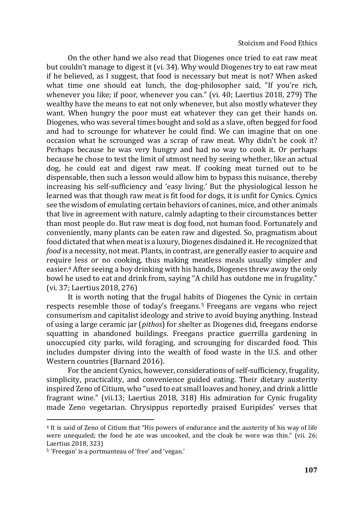On the other hand we also read that Diogenes once tried to eat raw meat but couldn't manage to digest it (vi. 34). Why would Diogenes try to eat raw meat if he believed, as I suggest, that food is necessary but meat is not? When asked what time one should eat lunch, the dog-philosopher said, "If you're rich, whenever you like; if poor, whenever you can." (vi. 40; Laertius 2018, 279) The wealthy have the means to eat not only whenever, but also mostly whatever they want. When hungry the poor must eat whatever they can get their hands on. Diogenes, who was several times bought and sold as a slave, often begged for food and had to scrounge for whatever he could find. We can imagine that on one occasion what he scrounged was a scrap of raw meat. Why didn't he cook it? Perhaps because he was very hungry and had no way to cook it. Or perhaps because he chose to test the limit of utmost need by seeing whether, like an actual dog, he could eat and digest raw meat. If cooking meat turned out to be dispensable, then such a lesson would allow him to bypass this nuisance, thereby increasing his self-sufficiency and 'easy living.' But the physiological lesson he learned was that though raw meat is fit food for dogs, it is unfit for Cynics. Cynics see the wisdom of emulating certain behaviors of canines, mice, and other animals that live in agreement with nature, calmly adapting to their circumstances better than most people do. But raw meat is dog food, not human food. Fortunately and conveniently, many plants can be eaten raw and digested. So, pragmatism about food dictated that when meat is a luxury, Diogenes disdained it. He recognized that *food* is a necessity, not meat. Plants, in contrast, are generally easier to acquire and require less or no cooking, thus making meatless meals usually simpler and easier.<sup>4</sup> After seeing a boy drinking with his hands, Diogenes threw away the only bowl he used to eat and drink from, saying "A child has outdone me in frugality." (vi. 37; Laertius 2018, 276)

It is worth noting that the frugal habits of Diogenes the Cynic in certain respects resemble those of today's freegans. <sup>5</sup> Freegans are vegans who reject consumerism and capitalist ideology and strive to avoid buying anything. Instead of using a large ceramic jar (*pithos*) for shelter as Diogenes did, freegans endorse squatting in abandoned buildings. Freegans practice guerrilla gardening in unoccupied city parks, wild foraging, and scrounging for discarded food. This includes dumpster diving into the wealth of food waste in the U.S. and other Western countries (Barnard 2016).

For the ancient Cynics, however, considerations of self-sufficiency, frugality, simplicity, practicality, and convenience guided eating. Their dietary austerity inspired Zeno of Citium, who "used to eat small loaves and honey, and drink a little fragrant wine." (vii.13; Laertius 2018, 318) His admiration for Cynic frugality made Zeno vegetarian. Chrysippus reportedly praised Euripides' verses that

<sup>4</sup> It is said of Zeno of Citium that "His powers of endurance and the austerity of his way of life were unequaled; the food he ate was uncooked, and the cloak he wore was thin." (vii. 26; Laertius 2018, 323)

<sup>5</sup> 'Freegan' is a portmanteau of 'free' and 'vegan.'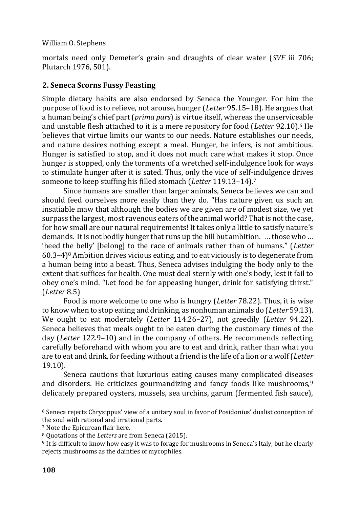mortals need only Demeter's grain and draughts of clear water (*SVF* iii 706; Plutarch 1976, 501).

## **2. Seneca Scorns Fussy Feasting**

Simple dietary habits are also endorsed by Seneca the Younger. For him the purpose of food is to relieve, not arouse, hunger (*Letter* 95.15–18). He argues that a human being's chief part (*prima pars*) is virtue itself, whereas the unserviceable and unstable flesh attached to it is a mere repository for food (*Letter* 92.10).<sup>6</sup> He believes that virtue limits our wants to our needs. Nature establishes our needs, and nature desires nothing except a meal. Hunger, he infers, is not ambitious. Hunger is satisfied to stop, and it does not much care what makes it stop. Once hunger is stopped, only the torments of a wretched self-indulgence look for ways to stimulate hunger after it is sated. Thus, only the vice of self-indulgence drives someone to keep stuffing his filled stomach (*Letter* 119.13–14).<sup>7</sup>

Since humans are smaller than larger animals, Seneca believes we can and should feed ourselves more easily than they do. "Has nature given us such an insatiable maw that although the bodies we are given are of modest size, we yet surpass the largest, most ravenous eaters of the animal world? That is not the case, for how small are our natural requirements! It takes only a little to satisfy nature's demands. It is not bodily hunger that runs up the bill but ambition. … those who … 'heed the belly' [belong] to the race of animals rather than of humans." (*Letter*  $60.3-4$ <sup>8</sup> Ambition drives vicious eating, and to eat viciously is to degenerate from a human being into a beast. Thus, Seneca advises indulging the body only to the extent that suffices for health. One must deal sternly with one's body, lest it fail to obey one's mind. "Let food be for appeasing hunger, drink for satisfying thirst." (*Letter* 8.5)

Food is more welcome to one who is hungry (*Letter* 78.22). Thus, it is wise to know when to stop eating and drinking, as nonhuman animals do (*Letter* 59.13). We ought to eat moderately (*Letter* 114.26–27), not greedily (*Letter* 94.22). Seneca believes that meals ought to be eaten during the customary times of the day (*Letter* 122.9–10) and in the company of others. He recommends reflecting carefully beforehand with whom you are to eat and drink, rather than what you are to eat and drink, for feeding without a friend is the life of a lion or a wolf (*Letter* 19.10).

Seneca cautions that luxurious eating causes many complicated diseases and disorders. He criticizes gourmandizing and fancy foods like mushrooms,<sup>9</sup> delicately prepared oysters, mussels, sea urchins, garum (fermented fish sauce),

<sup>6</sup> Seneca rejects Chrysippus' view of a unitary soul in favor of Posidonius' dualist conception of the soul with rational and irrational parts.

<sup>7</sup> Note the Epicurean flair here.

<sup>8</sup> Quotations of the *Letters* are from Seneca (2015).

<sup>9</sup> It is difficult to know how easy it was to forage for mushrooms in Seneca's Italy, but he clearly rejects mushrooms as the dainties of mycophiles.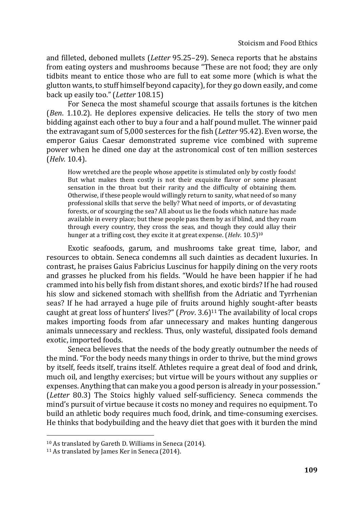and filleted, deboned mullets (*Letter* 95.25–29). Seneca reports that he abstains from eating oysters and mushrooms because "These are not food; they are only tidbits meant to entice those who are full to eat some more (which is what the glutton wants, to stuff himself beyond capacity), for they go down easily, and come back up easily too." (*Letter* 108.15)

For Seneca the most shameful scourge that assails fortunes is the kitchen (*Ben*. 1.10.2). He deplores expensive delicacies. He tells the story of two men bidding against each other to buy a four and a half pound mullet. The winner paid the extravagant sum of 5,000 sesterces for the fish (*Letter* 95.42). Even worse, the emperor Gaius Caesar demonstrated supreme vice combined with supreme power when he dined one day at the astronomical cost of ten million sesterces (*Helv.* 10.4).

How wretched are the people whose appetite is stimulated only by costly foods! But what makes them costly is not their exquisite flavor or some pleasant sensation in the throat but their rarity and the difficulty of obtaining them. Otherwise, if these people would willingly return to sanity, what need of so many professional skills that serve the belly? What need of imports, or of devastating forests, or of scourging the sea? All about us lie the foods which nature has made available in every place; but these people pass them by as if blind, and they roam through every country, they cross the seas, and though they could allay their hunger at a trifling cost, they excite it at great expense. (*Helv*. 10.5)<sup>10</sup>

Exotic seafoods, garum, and mushrooms take great time, labor, and resources to obtain. Seneca condemns all such dainties as decadent luxuries. In contrast, he praises Gaius Fabricius Luscinus for happily dining on the very roots and grasses he plucked from his fields. "Would he have been happier if he had crammed into his belly fish from distant shores, and exotic birds? If he had roused his slow and sickened stomach with shellfish from the Adriatic and Tyrrhenian seas? If he had arrayed a huge pile of fruits around highly sought-after beasts caught at great loss of hunters' lives?" (*Prov*. 3.6)<sup>11</sup> The availability of local crops makes importing foods from afar unnecessary and makes hunting dangerous animals unnecessary and reckless. Thus, only wasteful, dissipated fools demand exotic, imported foods.

Seneca believes that the needs of the body greatly outnumber the needs of the mind. "For the body needs many things in order to thrive, but the mind grows by itself, feeds itself, trains itself. Athletes require a great deal of food and drink, much oil, and lengthy exercises; but virtue will be yours without any supplies or expenses. Anything that can make you a good person is already in your possession." (*Letter* 80.3) The Stoics highly valued self-sufficiency. Seneca commends the mind's pursuit of virtue because it costs no money and requires no equipment. To build an athletic body requires much food, drink, and time-consuming exercises. He thinks that bodybuilding and the heavy diet that goes with it burden the mind

<sup>10</sup> As translated by Gareth D. Williams in Seneca (2014).

<sup>11</sup> As translated by James Ker in Seneca (2014).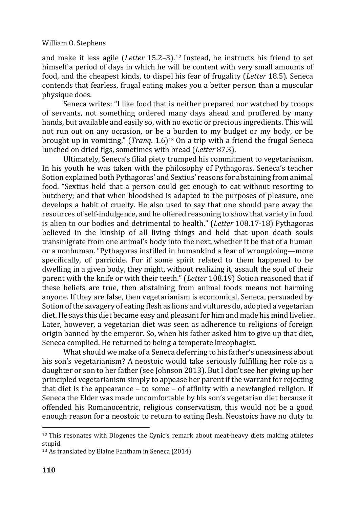and make it less agile (*Letter* 15.2–3).<sup>12</sup> Instead, he instructs his friend to set himself a period of days in which he will be content with very small amounts of food, and the cheapest kinds, to dispel his fear of frugality (*Letter* 18.5). Seneca contends that fearless, frugal eating makes you a better person than a muscular physique does.

Seneca writes: "I like food that is neither prepared nor watched by troops of servants, not something ordered many days ahead and proffered by many hands, but available and easily so, with no exotic or precious ingredients. This will not run out on any occasion, or be a burden to my budget or my body, or be brought up in vomiting." (*Tranq*. 1.6)<sup>13</sup> On a trip with a friend the frugal Seneca lunched on dried figs, sometimes with bread (*Letter* 87.3).

Ultimately, Seneca's filial piety trumped his commitment to vegetarianism. In his youth he was taken with the philosophy of Pythagoras. Seneca's teacher Sotion explained both Pythagoras' and Sextius' reasons for abstaining from animal food. "Sextius held that a person could get enough to eat without resorting to butchery; and that when bloodshed is adapted to the purposes of pleasure, one develops a habit of cruelty. He also used to say that one should pare away the resources of self-indulgence, and he offered reasoning to show that variety in food is alien to our bodies and detrimental to health." (*Letter* 108.17-18) Pythagoras believed in the kinship of all living things and held that upon death souls transmigrate from one animal's body into the next, whether it be that of a human or a nonhuman. "Pythagoras instilled in humankind a fear of wrongdoing—more specifically, of parricide. For if some spirit related to them happened to be dwelling in a given body, they might, without realizing it, assault the soul of their parent with the knife or with their teeth." (*Letter* 108.19) Sotion reasoned that if these beliefs are true, then abstaining from animal foods means not harming anyone. If they are false, then vegetarianism is economical. Seneca, persuaded by Sotion of the savagery of eating flesh as lions and vultures do, adopted a vegetarian diet. He says this diet became easy and pleasant for him and made his mind livelier. Later, however, a vegetarian diet was seen as adherence to religions of foreign origin banned by the emperor. So, when his father asked him to give up that diet, Seneca complied. He returned to being a temperate kreophagist.

What should we make of a Seneca deferring to his father's uneasiness about his son's vegetarianism? A neostoic would take seriously fulfilling her role as a daughter or son to her father (see Johnson 2013). But I don't see her giving up her principled vegetarianism simply to appease her parent if the warrant for rejecting that diet is the appearance – to some – of affinity with a newfangled religion. If Seneca the Elder was made uncomfortable by his son's vegetarian diet because it offended his Romanocentric, religious conservatism, this would not be a good enough reason for a neostoic to return to eating flesh. Neostoics have no duty to

<sup>12</sup> This resonates with Diogenes the Cynic's remark about meat-heavy diets making athletes stupid.

<sup>13</sup> As translated by Elaine Fantham in Seneca (2014).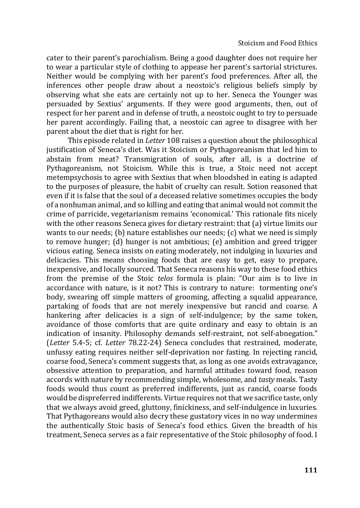cater to their parent's parochialism. Being a good daughter does not require her to wear a particular style of clothing to appease her parent's sartorial strictures. Neither would be complying with her parent's food preferences. After all, the inferences other people draw about a neostoic's religious beliefs simply by observing what she eats are certainly not up to her. Seneca the Younger was persuaded by Sextius' arguments. If they were good arguments, then, out of respect for her parent and in defense of truth, a neostoic ought to try to persuade her parent accordingly. Failing that, a neostoic can agree to disagree with her parent about the diet that is right for her.

This episode related in *Letter* 108 raises a question about the philosophical justification of Seneca's diet. Was it Stoicism or Pythagoreanism that led him to abstain from meat? Transmigration of souls, after all, is a doctrine of Pythagoreanism, not Stoicism. While this is true, a Stoic need not accept metempsychosis to agree with Sextius that when bloodshed in eating is adapted to the purposes of pleasure, the habit of cruelty can result. Sotion reasoned that even if it is false that the soul of a deceased relative sometimes occupies the body of a nonhuman animal, and so killing and eating that animal would not commit the crime of parricide, vegetarianism remains 'economical.' This rationale fits nicely with the other reasons Seneca gives for dietary restraint: that (a) virtue limits our wants to our needs; (b) nature establishes our needs; (c) what we need is simply to remove hunger; (d) hunger is not ambitious; (e) ambition and greed trigger vicious eating. Seneca insists on eating moderately, not indulging in luxuries and delicacies. This means choosing foods that are easy to get, easy to prepare, inexpensive, and locally sourced. That Seneca reasons his way to these food ethics from the premise of the Stoic *telos* formula is plain: "Our aim is to live in accordance with nature, is it not? This is contrary to nature: tormenting one's body, swearing off simple matters of grooming, affecting a squalid appearance, partaking of foods that are not merely inexpensive but rancid and coarse. A hankering after delicacies is a sign of self-indulgence; by the same token, avoidance of those comforts that are quite ordinary and easy to obtain is an indication of insanity. Philosophy demands self-restraint, not self-abnegation." (*Letter* 5.4-5; cf. *Letter* 78.22-24) Seneca concludes that restrained, moderate, unfussy eating requires neither self-deprivation nor fasting. In rejecting rancid, coarse food, Seneca's comment suggests that, as long as one avoids extravagance, obsessive attention to preparation, and harmful attitudes toward food, reason accords with nature by recommending simple, wholesome, and *tasty* meals. Tasty foods would thus count as preferred indifferents, just as rancid, coarse foods would be dispreferred indifferents. Virtue requires not that we sacrifice taste, only that we always avoid greed, gluttony, finickiness, and self-indulgence in luxuries. That Pythagoreans would also decry these gustatory vices in no way undermines the authentically Stoic basis of Seneca's food ethics. Given the breadth of his treatment, Seneca serves as a fair representative of the Stoic philosophy of food. I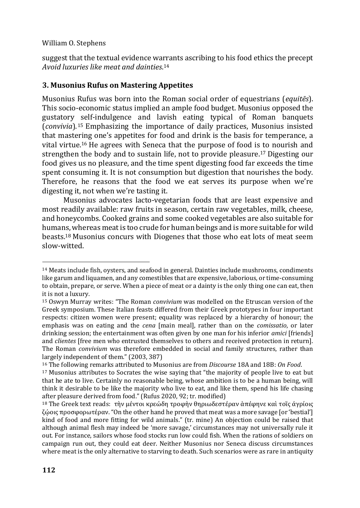suggest that the textual evidence warrants ascribing to his food ethics the precept *Avoid luxuries like meat and dainties*. 14

## **3. Musonius Rufus on Mastering Appetites**

Musonius Rufus was born into the Roman social order of equestrians (*equitēs*). This socio-economic status implied an ample food budget. Musonius opposed the gustatory self-indulgence and lavish eating typical of Roman banquets (*convivia*).<sup>15</sup> Emphasizing the importance of daily practices, Musonius insisted that mastering one's appetites for food and drink is the basis for temperance, a vital virtue.<sup>16</sup> He agrees with Seneca that the purpose of food is to nourish and strengthen the body and to sustain life, not to provide pleasure.<sup>17</sup> Digesting our food gives us no pleasure, and the time spent digesting food far exceeds the time spent consuming it. It is not consumption but digestion that nourishes the body. Therefore, he reasons that the food we eat serves its purpose when we're digesting it, not when we're tasting it.

Musonius advocates lacto-vegetarian foods that are least expensive and most readily available: raw fruits in season, certain raw vegetables, milk, cheese, and honeycombs. Cooked grains and some cooked vegetables are also suitable for humans, whereas meat is too crude for human beings and is more suitable for wild beasts.<sup>18</sup> Musonius concurs with Diogenes that those who eat lots of meat seem slow-witted.

<sup>14</sup> Meats include fish, oysters, and seafood in general. Dainties include mushrooms, condiments like garum and liquamen, and any comestibles that are expensive, laborious, or time-consuming to obtain, prepare, or serve. When a piece of meat or a dainty is the only thing one can eat, then it is not a luxury.

<sup>15</sup> Oswyn Murray writes: "The Roman *convivium* was modelled on the Etruscan version of the Greek symposium. These Italian feasts differed from their Greek prototypes in four important respects: citizen women were present; equality was replaced by a hierarchy of honour; the emphasis was on eating and the *cena* [main meal], rather than on the *comissatio*, or later drinking session; the entertainment was often given by one man for his inferior *amici* [friends] and *clientes* [free men who entrusted themselves to others and received protection in return]. The Roman *convivium* was therefore embedded in social and family structures, rather than largely independent of them." (2003, 387)

<sup>16</sup> The following remarks attributed to Musonius are from *Discourse* 18A and 18B: *On Food*.

<sup>17</sup> Musonius attributes to Socrates the wise saying that "the majority of people live to eat but that he ate to live. Certainly no reasonable being, whose ambition is to be a human being, will think it desirable to be like the majority who live to eat, and like them, spend his life chasing after pleasure derived from food." (Rufus 2020, 92; tr. modified)

<sup>18</sup> The Greek text reads: τὴν μέντοι κρεώδη τροφὴν θηριωδεστέραν ἁπέφηνε καὶ τοῖς ἀγρίοις ζώοις προσφορωτέραν. "On the other hand he proved that meat was a more savage [or 'bestial'] kind of food and more fitting for wild animals." (tr. mine) An objection could be raised that although animal flesh may indeed be 'more savage,' circumstances may not universally rule it out. For instance, sailors whose food stocks run low could fish. When the rations of soldiers on campaign run out, they could eat deer. Neither Musonius nor Seneca discuss circumstances where meat is the only alternative to starving to death. Such scenarios were as rare in antiquity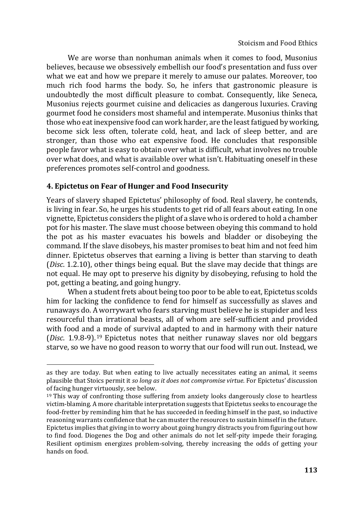We are worse than nonhuman animals when it comes to food, Musonius believes, because we obsessively embellish our food's presentation and fuss over what we eat and how we prepare it merely to amuse our palates. Moreover, too much rich food harms the body. So, he infers that gastronomic pleasure is undoubtedly the most difficult pleasure to combat. Consequently, like Seneca, Musonius rejects gourmet cuisine and delicacies as dangerous luxuries. Craving gourmet food he considers most shameful and intemperate. Musonius thinks that those who eat inexpensive food can work harder, are the least fatigued by working, become sick less often, tolerate cold, heat, and lack of sleep better, and are stronger, than those who eat expensive food. He concludes that responsible people favor what is easy to obtain over what is difficult, what involves no trouble over what does, and what is available over what isn't. Habituating oneself in these preferences promotes self-control and goodness.

## **4. Epictetus on Fear of Hunger and Food Insecurity**

Years of slavery shaped Epictetus' philosophy of food. Real slavery, he contends, is living in fear. So, he urges his students to get rid of all fears about eating. In one vignette, Epictetus considers the plight of a slave who is ordered to hold a chamber pot for his master. The slave must choose between obeying this command to hold the pot as his master evacuates his bowels and bladder or disobeying the command. If the slave disobeys, his master promises to beat him and not feed him dinner. Epictetus observes that earning a living is better than starving to death (*Disc*. 1.2.10), other things being equal. But the slave may decide that things are not equal. He may opt to preserve his dignity by disobeying, refusing to hold the pot, getting a beating, and going hungry.

When a student frets about being too poor to be able to eat, Epictetus scolds him for lacking the confidence to fend for himself as successfully as slaves and runaways do. A worrywart who fears starving must believe he is stupider and less resourceful than irrational beasts, all of whom are self-sufficient and provided with food and a mode of survival adapted to and in harmony with their nature (*Disc*. 1.9.8-9). <sup>19</sup> Epictetus notes that neither runaway slaves nor old beggars starve, so we have no good reason to worry that our food will run out. Instead, we

as they are today. But when eating to live actually necessitates eating an animal, it seems plausible that Stoics permit it *so long as it does not compromise virtue*. For Epictetus' discussion of facing hunger virtuously, see below.

 $19$  This way of confronting those suffering from anxiety looks dangerously close to heartless victim-blaming. A more charitable interpretation suggests that Epictetus seeks to encourage the food-fretter by reminding him that he has succeeded in feeding himself in the past, so inductive reasoning warrants confidence that he can muster the resources to sustain himself in the future. Epictetus implies that giving in to worry about going hungry distracts you from figuring out how to find food. Diogenes the Dog and other animals do not let self-pity impede their foraging. Resilient optimism energizes problem-solving, thereby increasing the odds of getting your hands on food.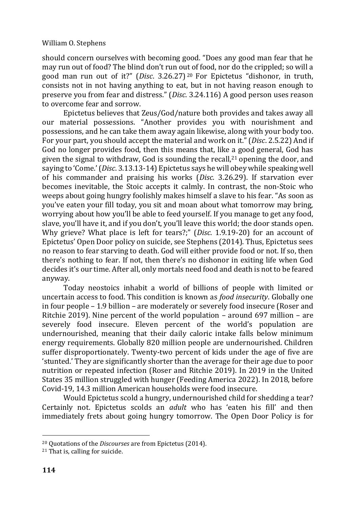should concern ourselves with becoming good. "Does any good man fear that he may run out of food? The blind don't run out of food, nor do the crippled; so will a good man run out of it?" (*Disc*. 3.26.27) <sup>20</sup> For Epictetus "dishonor, in truth, consists not in not having anything to eat, but in not having reason enough to preserve you from fear and distress." (*Disc*. 3.24.116) A good person uses reason to overcome fear and sorrow.

Epictetus believes that Zeus/God/nature both provides and takes away all our material possessions. "Another provides you with nourishment and possessions, and he can take them away again likewise, along with your body too. For your part, you should accept the material and work on it." (*Disc*. 2.5.22) And if God no longer provides food, then this means that, like a good general, God has given the signal to withdraw, God is sounding the recall,<sup>21</sup> opening the door, and saying to 'Come.' (*Disc*. 3.13.13-14) Epictetus says he will obey while speaking well of his commander and praising his works (*Disc*. 3.26.29). If starvation ever becomes inevitable, the Stoic accepts it calmly. In contrast, the non-Stoic who weeps about going hungry foolishly makes himself a slave to his fear. "As soon as you've eaten your fill today, you sit and moan about what tomorrow may bring, worrying about how you'll be able to feed yourself. If you manage to get any food, slave, you'll have it, and if you don't, you'll leave this world; the door stands open. Why grieve? What place is left for tears?;" (*Disc*. 1.9.19-20) for an account of Epictetus' Open Door policy on suicide, see Stephens (2014). Thus, Epictetus sees no reason to fear starving to death. God will either provide food or not. If so, then there's nothing to fear. If not, then there's no dishonor in exiting life when God decides it's our time. After all, only mortals need food and death is not to be feared anyway.

Today neostoics inhabit a world of billions of people with limited or uncertain access to food. This condition is known as *food insecurity*. Globally one in four people – 1.9 billion – are moderately or severely food insecure (Roser and Ritchie 2019). Nine percent of the world population – around 697 million – are severely food insecure. Eleven percent of the world's population are undernourished, meaning that their daily caloric intake falls below minimum energy requirements. Globally 820 million people are undernourished. Children suffer disproportionately. Twenty-two percent of kids under the age of five are 'stunted.' They are significantly shorter than the average for their age due to poor nutrition or repeated infection (Roser and Ritchie 2019). In 2019 in the United States 35 million struggled with hunger (Feeding America 2022). In 2018, before Covid-19, 14.3 million American households were food insecure.

Would Epictetus scold a hungry, undernourished child for shedding a tear? Certainly not. Epictetus scolds an *adult* who has 'eaten his fill' and then immediately frets about going hungry tomorrow. The Open Door Policy is for

<sup>20</sup> Quotations of the *Discourses* are from Epictetus (2014).

<sup>21</sup> That is, calling for suicide.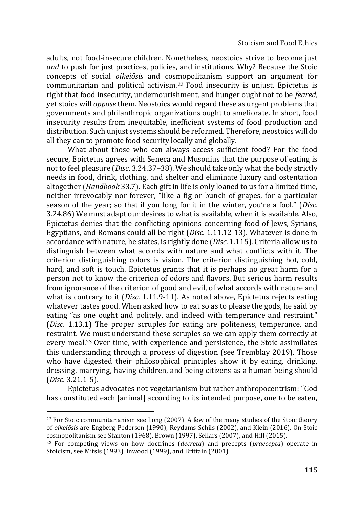adults, not food-insecure children. Nonetheless, neostoics strive to become just *and* to push for just practices, policies, and institutions. Why? Because the Stoic concepts of social *oikeiōsis* and cosmopolitanism support an argument for communitarian and political activism.<sup>22</sup> Food insecurity is unjust. Epictetus is right that food insecurity, undernourishment, and hunger ought not to be *feared*, yet stoics will *oppose* them. Neostoics would regard these as urgent problems that governments and philanthropic organizations ought to ameliorate. In short, food insecurity results from inequitable, inefficient systems of food production and distribution. Such unjust systems should be reformed. Therefore, neostoics will do all they can to promote food security locally and globally.

What about those who can always access sufficient food? For the food secure, Epictetus agrees with Seneca and Musonius that the purpose of eating is not to feel pleasure (*Disc*. 3.24.37–38). We should take only what the body strictly needs in food, drink, clothing, and shelter and eliminate luxury and ostentation altogether (*Handbook* 33.7). Each gift in life is only loaned to us for a limited time, neither irrevocably nor forever, "like a fig or bunch of grapes, for a particular season of the year; so that if you long for it in the winter, you're a fool." (*Disc*. 3.24.86) We must adapt our desires to what is available, when it is available. Also, Epictetus denies that the conflicting opinions concerning food of Jews, Syrians, Egyptians, and Romans could all be right (*Disc*. 1.11.12-13). Whatever is done in accordance with nature, he states, is rightly done (*Disc*. 1.115). Criteria allow us to distinguish between what accords with nature and what conflicts with it. The criterion distinguishing colors is vision. The criterion distinguishing hot, cold, hard, and soft is touch. Epictetus grants that it is perhaps no great harm for a person not to know the criterion of odors and flavors. But serious harm results from ignorance of the criterion of good and evil, of what accords with nature and what is contrary to it (*Disc*. 1.11.9-11). As noted above, Epictetus rejects eating whatever tastes good. When asked how to eat so as to please the gods, he said by eating "as one ought and politely, and indeed with temperance and restraint." (*Disc*. 1.13.1) The proper scruples for eating are politeness, temperance, and restraint. We must understand these scruples so we can apply them correctly at every meal.<sup>23</sup> Over time, with experience and persistence, the Stoic assimilates this understanding through a process of digestion (see Tremblay 2019). Those who have digested their philosophical principles show it by eating, drinking, dressing, marrying, having children, and being citizens as a human being should (*Disc*. 3.21.1-5).

Epictetus advocates not vegetarianism but rather anthropocentrism: "God has constituted each [animal] according to its intended purpose, one to be eaten,

<sup>22</sup> For Stoic communitarianism see Long (2007). A few of the many studies of the Stoic theory of *oikeiōsis* are Engberg-Pedersen (1990), Reydams-Schils (2002), and Klein (2016). On Stoic cosmopolitanism see Stanton (1968), Brown (1997), Sellars (2007), and Hill (2015).

<sup>23</sup> For competing views on how doctrines (*decreta*) and precepts (*praecepta*) operate in Stoicism, see Mitsis (1993), Inwood (1999), and Brittain (2001).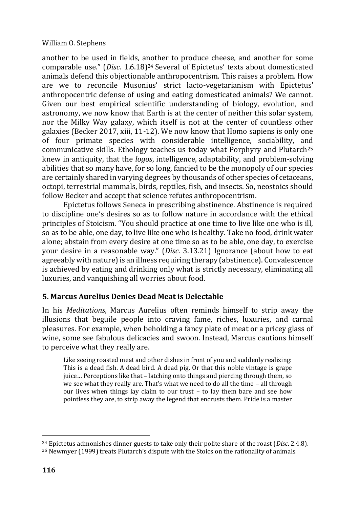another to be used in fields, another to produce cheese, and another for some comparable use." (*Disc*. 1.6.18)<sup>24</sup> Several of Epictetus' texts about domesticated animals defend this objectionable anthropocentrism. This raises a problem. How are we to reconcile Musonius' strict lacto-vegetarianism with Epictetus' anthropocentric defense of using and eating domesticated animals? We cannot. Given our best empirical scientific understanding of biology, evolution, and astronomy, we now know that Earth is at the center of neither this solar system, nor the Milky Way galaxy, which itself is not at the center of countless other galaxies (Becker 2017, xiii, 11-12). We now know that Homo sapiens is only one of four primate species with considerable intelligence, sociability, and communicative skills. Ethology teaches us today what Porphyry and Plutarch<sup>25</sup> knew in antiquity, that the *logos*, intelligence, adaptability, and problem-solving abilities that so many have, for so long, fancied to be the monopoly of our species are certainly shared in varying degrees by thousands of other species of cetaceans, octopi, terrestrial mammals, birds, reptiles, fish, and insects. So, neostoics should follow Becker and accept that science refutes anthropocentrism.

Epictetus follows Seneca in prescribing abstinence. Abstinence is required to discipline one's desires so as to follow nature in accordance with the ethical principles of Stoicism. "You should practice at one time to live like one who is ill, so as to be able, one day, to live like one who is healthy. Take no food, drink water alone; abstain from every desire at one time so as to be able, one day, to exercise your desire in a reasonable way." (*Disc*. 3.13.21) Ignorance (about how to eat agreeably with nature) is an illness requiring therapy (abstinence). Convalescence is achieved by eating and drinking only what is strictly necessary, eliminating all luxuries, and vanquishing all worries about food.

## **5. Marcus Aurelius Denies Dead Meat is Delectable**

In his *Meditations*, Marcus Aurelius often reminds himself to strip away the illusions that beguile people into craving fame, riches, luxuries, and carnal pleasures. For example, when beholding a fancy plate of meat or a pricey glass of wine, some see fabulous delicacies and swoon. Instead, Marcus cautions himself to perceive what they really are.

Like seeing roasted meat and other dishes in front of you and suddenly realizing: This is a dead fish. A dead bird. A dead pig. Or that this noble vintage is grape juice… Perceptions like that – latching onto things and piercing through them, so we see what they really are. That's what we need to do all the time – all through our lives when things lay claim to our trust – to lay them bare and see how pointless they are, to strip away the legend that encrusts them. Pride is a master

<sup>24</sup> Epictetus admonishes dinner guests to take only their polite share of the roast (*Disc*. 2.4.8).

<sup>25</sup> Newmyer (1999) treats Plutarch's dispute with the Stoics on the rationality of animals.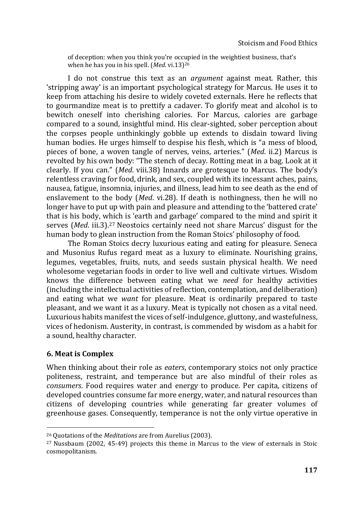of deception: when you think you're occupied in the weightiest business, that's when he has you in his spell. (*Med*. vi.13)<sup>26</sup>

I do not construe this text as an *argument* against meat. Rather, this 'stripping away' is an important psychological strategy for Marcus. He uses it to keep from attaching his desire to widely coveted externals. Here he reflects that to gourmandize meat is to prettify a cadaver. To glorify meat and alcohol is to bewitch oneself into cherishing calories. For Marcus, calories are garbage compared to a sound, insightful mind. His clear-sighted, sober perception about the corpses people unthinkingly gobble up extends to disdain toward living human bodies. He urges himself to despise his flesh, which is "a mess of blood, pieces of bone, a woven tangle of nerves, veins, arteries." (*Med*. ii.2) Marcus is revolted by his own body: "The stench of decay. Rotting meat in a bag. Look at it clearly. If you can." (*Med*. viii.38) Innards are grotesque to Marcus. The body's relentless craving for food, drink, and sex, coupled with its incessant aches, pains, nausea, fatigue, insomnia, injuries, and illness, lead him to see death as the end of enslavement to the body (*Med*. vi.28). If death is nothingness, then he will no longer have to put up with pain and pleasure and attending to the 'battered crate' that is his body, which is 'earth and garbage' compared to the mind and spirit it serves (*Med*. iii.3).<sup>27</sup> Neostoics certainly need not share Marcus' disgust for the human body to glean instruction from the Roman Stoics' philosophy of food.

The Roman Stoics decry luxurious eating and eating for pleasure. Seneca and Musonius Rufus regard meat as a luxury to eliminate. Nourishing grains, legumes, vegetables, fruits, nuts, and seeds sustain physical health. We need wholesome vegetarian foods in order to live well and cultivate virtues. Wisdom knows the difference between eating what we *need* for healthy activities (including the intellectual activities of reflection, contemplation, and deliberation) and eating what we *want* for pleasure. Meat is ordinarily prepared to taste pleasant, and we want it as a luxury. Meat is typically not chosen as a vital need. Luxurious habits manifest the vices of self-indulgence, gluttony, and wastefulness, vices of hedonism. Austerity, in contrast, is commended by wisdom as a habit for a sound, healthy character.

## **6. Meat is Complex**

When thinking about their role as *eaters*, contemporary stoics not only practice politeness, restraint, and temperance but are also mindful of their roles as *consumers*. Food requires water and energy to produce. Per capita, citizens of developed countries consume far more energy, water, and natural resources than citizens of developing countries while generating far greater volumes of greenhouse gases. Consequently, temperance is not the only virtue operative in

<sup>26</sup> Quotations of the *Meditations* are from Aurelius (2003).

<sup>27</sup> Nussbaum (2002, 45-49) projects this theme in Marcus to the view of externals in Stoic cosmopolitanism.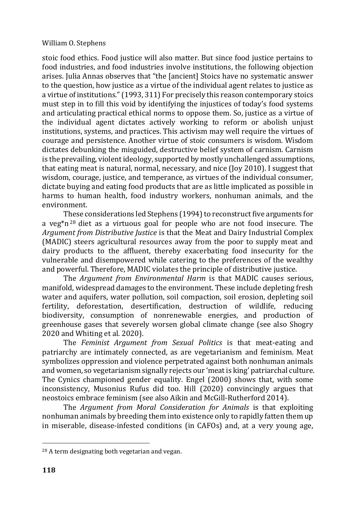stoic food ethics. Food justice will also matter. But since food justice pertains to food industries, and food industries involve institutions, the following objection arises. Julia Annas observes that "the [ancient] Stoics have no systematic answer to the question, how justice as a virtue of the individual agent relates to justice as a virtue of institutions." (1993, 311) For precisely this reason contemporary stoics must step in to fill this void by identifying the injustices of today's food systems and articulating practical ethical norms to oppose them. So, justice as a virtue of the individual agent dictates actively working to reform or abolish unjust institutions, systems, and practices. This activism may well require the virtues of courage and persistence. Another virtue of stoic consumers is wisdom. Wisdom dictates debunking the misguided, destructive belief system of carnism. Carnism is the prevailing, violent ideology, supported by mostly unchallenged assumptions, that eating meat is natural, normal, necessary, and nice (Joy 2010). I suggest that wisdom, courage, justice, and temperance, as virtues of the individual consumer, dictate buying and eating food products that are as little implicated as possible in harms to human health, food industry workers, nonhuman animals, and the environment.

These considerations led Stephens (1994) to reconstruct five arguments for a veg $n^{28}$  diet as a virtuous goal for people who are not food insecure. The *Argument from Distributive Justice* is that the Meat and Dairy Industrial Complex (MADIC) steers agricultural resources away from the poor to supply meat and dairy products to the affluent, thereby exacerbating food insecurity for the vulnerable and disempowered while catering to the preferences of the wealthy and powerful. Therefore, MADIC violates the principle of distributive justice.

The *Argument from Environmental Harm* is that MADIC causes serious, manifold, widespread damages to the environment. These include depleting fresh water and aquifers, water pollution, soil compaction, soil erosion, depleting soil fertility, deforestation, desertification, destruction of wildlife, reducing biodiversity, consumption of nonrenewable energies, and production of greenhouse gases that severely worsen global climate change (see also Shogry 2020 and Whiting et al. 2020).

The *Feminist Argument from Sexual Politics* is that meat-eating and patriarchy are intimately connected, as are vegetarianism and feminism. Meat symbolizes oppression and violence perpetrated against both nonhuman animals and women, so vegetarianism signally rejects our 'meat is king' patriarchal culture. The Cynics championed gender equality. Engel (2000) shows that, with some inconsistency, Musonius Rufus did too. Hill (2020) convincingly argues that neostoics embrace feminism (see also Aikin and McGill-Rutherford 2014).

The *Argument from Moral Consideration for Animals* is that exploiting nonhuman animals by breeding them into existence only to rapidly fatten them up in miserable, disease-infested conditions (in CAFOs) and, at a very young age,

<sup>28</sup> A term designating both vegetarian and vegan.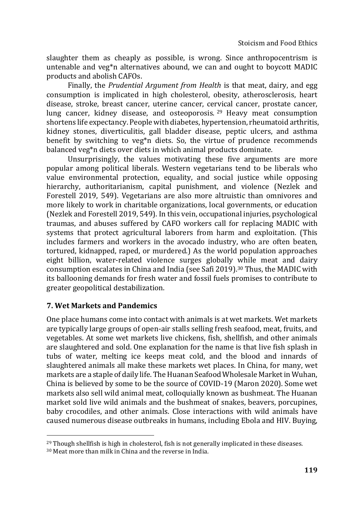slaughter them as cheaply as possible, is wrong. Since anthropocentrism is untenable and veg\*n alternatives abound, we can and ought to boycott MADIC products and abolish CAFOs.

Finally, the *Prudential Argument from Health* is that meat, dairy, and egg consumption is implicated in high cholesterol, obesity, atherosclerosis, heart disease, stroke, breast cancer, uterine cancer, cervical cancer, prostate cancer, lung cancer, kidney disease, and osteoporosis. <sup>29</sup> Heavy meat consumption shortens life expectancy. People with diabetes, hypertension, rheumatoid arthritis, kidney stones, diverticulitis, gall bladder disease, peptic ulcers, and asthma benefit by switching to veg\*n diets. So, the virtue of prudence recommends balanced veg\*n diets over diets in which animal products dominate.

Unsurprisingly, the values motivating these five arguments are more popular among political liberals. Western vegetarians tend to be liberals who value environmental protection, equality, and social justice while opposing hierarchy, authoritarianism, capital punishment, and violence (Nezlek and Forestell 2019, 549). Vegetarians are also more altruistic than omnivores and more likely to work in charitable organizations, local governments, or education (Nezlek and Forestell 2019, 549). In this vein, occupational injuries, psychological traumas, and abuses suffered by CAFO workers call for replacing MADIC with systems that protect agricultural laborers from harm and exploitation. (This includes farmers and workers in the avocado industry, who are often beaten, tortured, kidnapped, raped, or murdered.) As the world population approaches eight billion, water-related violence surges globally while meat and dairy consumption escalates in China and India (see Safi 2019).<sup>30</sup> Thus, the MADIC with its ballooning demands for fresh water and fossil fuels promises to contribute to greater geopolitical destabilization.

## **7. Wet Markets and Pandemics**

One place humans come into contact with animals is at wet markets. Wet markets are typically large groups of open-air stalls selling fresh seafood, meat, fruits, and vegetables. At some wet markets live chickens, fish, shellfish, and other animals are slaughtered and sold. One explanation for the name is that live fish splash in tubs of water, melting ice keeps meat cold, and the blood and innards of slaughtered animals all make these markets wet places. In China, for many, wet markets are a staple of daily life. The Huanan Seafood Wholesale Market in Wuhan, China is believed by some to be the source of COVID-19 (Maron 2020). Some wet markets also sell wild animal meat, colloquially known as bushmeat. The Huanan market sold live wild animals and the bushmeat of snakes, beavers, porcupines, baby crocodiles, and other animals. Close interactions with wild animals have caused numerous disease outbreaks in humans, including Ebola and HIV. Buying,

<sup>&</sup>lt;sup>29</sup> Though shellfish is high in cholesterol, fish is not generally implicated in these diseases.

<sup>30</sup> Meat more than milk in China and the reverse in India.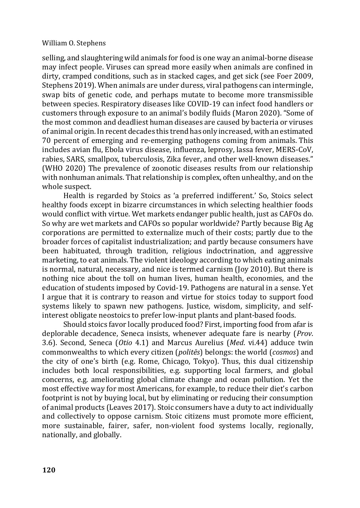selling, and slaughtering wild animals for food is one way an animal-borne disease may infect people. Viruses can spread more easily when animals are confined in dirty, cramped conditions, such as in stacked cages, and get sick (see Foer 2009, Stephens 2019). When animals are under duress, viral pathogens can intermingle, swap bits of genetic code, and perhaps mutate to become more transmissible between species. Respiratory diseases like COVID-19 can infect food handlers or customers through exposure to an animal's bodily fluids (Maron 2020). "Some of the most common and deadliest human diseases are caused by bacteria or viruses of animal origin. In recent decades this trend has only increased, with an estimated 70 percent of emerging and re-emerging pathogens coming from animals. This includes avian flu, Ebola virus disease, influenza, leprosy, lassa fever, MERS-CoV, rabies, SARS, smallpox, tuberculosis, Zika fever, and other well-known diseases." (WHO 2020) The prevalence of zoonotic diseases results from our relationship with nonhuman animals. That relationship is complex, often unhealthy, and on the whole suspect.

Health is regarded by Stoics as 'a preferred indifferent.' So, Stoics select healthy foods except in bizarre circumstances in which selecting healthier foods would conflict with virtue. Wet markets endanger public health, just as CAFOs do. So why are wet markets and CAFOs so popular worldwide? Partly because Big Ag corporations are permitted to externalize much of their costs; partly due to the broader forces of capitalist industrialization; and partly because consumers have been habituated, through tradition, religious indoctrination, and aggressive marketing, to eat animals. The violent ideology according to which eating animals is normal, natural, necessary, and nice is termed carnism (Joy 2010). But there is nothing nice about the toll on human lives, human health, economies, and the education of students imposed by Covid-19. Pathogens are natural in a sense. Yet I argue that it is contrary to reason and virtue for stoics today to support food systems likely to spawn new pathogens. Justice, wisdom, simplicity, and selfinterest obligate neostoics to prefer low-input plants and plant-based foods.

Should stoics favor locally produced food? First, importing food from afar is deplorable decadence, Seneca insists, whenever adequate fare is nearby (*Prov*. 3.6). Second, Seneca (*Otio* 4.1) and Marcus Aurelius (*Med*. vi.44) adduce twin commonwealths to which every citizen (*politēs*) belongs: the world (*cosmos*) and the city of one's birth (e.g. Rome, Chicago, Tokyo). Thus, this dual citizenship includes both local responsibilities, e.g. supporting local farmers, and global concerns, e.g. ameliorating global climate change and ocean pollution. Yet the most effective way for most Americans, for example, to reduce their diet's carbon footprint is not by buying local, but by eliminating or reducing their consumption of animal products (Leaves 2017). Stoic consumers have a duty to act individually and collectively to oppose carnism. Stoic citizens must promote more efficient, more sustainable, fairer, safer, non-violent food systems locally, regionally, nationally, and globally.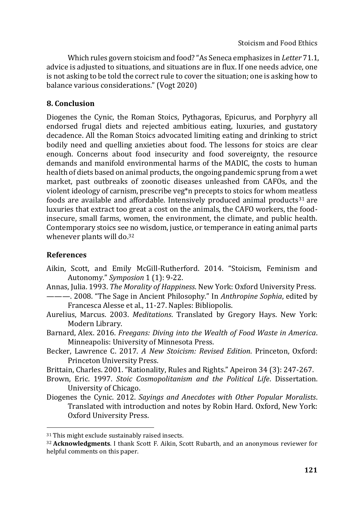Stoicism and Food Ethics

Which rules govern stoicism and food? "As Seneca emphasizes in *Letter* 71.1, advice is adjusted to situations, and situations are in flux. If one needs advice, one is not asking to be told the correct rule to cover the situation; one is asking how to balance various considerations." (Vogt 2020)

## **8. Conclusion**

Diogenes the Cynic, the Roman Stoics, Pythagoras, Epicurus, and Porphyry all endorsed frugal diets and rejected ambitious eating, luxuries, and gustatory decadence. All the Roman Stoics advocated limiting eating and drinking to strict bodily need and quelling anxieties about food. The lessons for stoics are clear enough. Concerns about food insecurity and food sovereignty, the resource demands and manifold environmental harms of the MADIC, the costs to human health of diets based on animal products, the ongoing pandemic sprung from a wet market, past outbreaks of zoonotic diseases unleashed from CAFOs, and the violent ideology of carnism, prescribe veg\*n precepts to stoics for whom meatless foods are available and affordable. Intensively produced animal products<sup>31</sup> are luxuries that extract too great a cost on the animals, the CAFO workers, the foodinsecure, small farms, women, the environment, the climate, and public health. Contemporary stoics see no wisdom, justice, or temperance in eating animal parts whenever plants will do.<sup>32</sup>

## **References**

- Aikin, Scott, and Emily McGill-Rutherford. 2014. "Stoicism, Feminism and Autonomy." *Symposion* 1 (1): 9-22.
- Annas, Julia. 1993. *The Morality of Happiness*. New York: Oxford University Press.
- ———. 2008. "The Sage in Ancient Philosophy." In *Anthropine Sophia*, edited by Francesca Alesse et al., 11-27. Naples: Bibliopolis.
- Aurelius, Marcus. 2003. *Meditations*. Translated by Gregory Hays. New York: Modern Library.
- Barnard, Alex. 2016. *Freegans: Diving into the Wealth of Food Waste in America*. Minneapolis: University of Minnesota Press.
- Becker, Lawrence C. 2017. *A New Stoicism: Revised Edition*. Princeton, Oxford: Princeton University Press.
- Brittain, Charles. 2001. "Rationality, Rules and Rights." Apeiron 34 (3): 247-267.
- Brown, Eric. 1997. *Stoic Cosmopolitanism and the Political Life*. Dissertation. University of Chicago.
- Diogenes the Cynic. 2012. *Sayings and Anecdotes with Other Popular Moralists*. Translated with introduction and notes by Robin Hard. Oxford, New York: Oxford University Press.

<sup>31</sup> This might exclude sustainably raised insects.

<sup>32</sup> **Acknowledgments**. I thank Scott F. Aikin, Scott Rubarth, and an anonymous reviewer for helpful comments on this paper.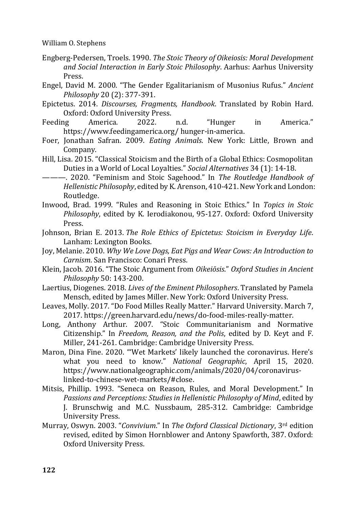William O. Stephens

- Engberg-Pedersen, Troels. 1990. *The Stoic Theory of Oikeiosis: Moral Development and Social Interaction in Early Stoic Philosophy*. Aarhus: Aarhus University Press.
- Engel, David M. 2000. "The Gender Egalitarianism of Musonius Rufus." *Ancient Philosophy* 20 (2): 377-391.
- Epictetus. 2014. *Discourses, Fragments, Handbook*. Translated by Robin Hard. Oxford: Oxford University Press.
- Feeding America. 2022. n.d. "Hunger in America." https://www.feedingamerica.org/ hunger-in-america.
- Foer, Jonathan Safran. 2009. *Eating Animals*. New York: Little, Brown and Company.
- Hill, Lisa. 2015. "Classical Stoicism and the Birth of a Global Ethics: Cosmopolitan Duties in a World of Local Loyalties." *Social Alternatives* 34 (1): 14-18.
- ———. 2020. "Feminism and Stoic Sagehood." In *The Routledge Handbook of Hellenistic Philosophy*, edited by K. Arenson, 410-421. New York and London: Routledge.
- Inwood, Brad. 1999. "Rules and Reasoning in Stoic Ethics." In *Topics in Stoic Philosophy*, edited by K. Ierodiakonou, 95-127. Oxford: Oxford University Press.
- Johnson, Brian E. 2013. *The Role Ethics of Epictetus: Stoicism in Everyday Life*. Lanham: Lexington Books.
- Joy, Melanie. 2010. *Why We Love Dogs, Eat Pigs and Wear Cows: An Introduction to Carnism*. San Francisco: Conari Press.
- Klein, Jacob. 2016. "The Stoic Argument from *Oikeiōsis*." *Oxford Studies in Ancient Philosophy* 50: 143-200.
- Laertius, Diogenes. 2018. *Lives of the Eminent Philosophers*. Translated by Pamela Mensch, edited by James Miller. New York: Oxford University Press.
- Leaves, Molly. 2017. "Do Food Milles Really Matter." Harvard University. March 7, 2017. [https://green.harvard.edu/news/do-food-miles-really-matter.](https://green.harvard.edu/news/do-food-miles-really-matter)
- Long, Anthony Arthur. 2007. "Stoic Communitarianism and Normative Citizenship." In *Freedom, Reason, and the Polis*, edited by D. Keyt and F. Miller, 241-261. Cambridge: Cambridge University Press.
- Maron, Dina Fine. 2020. "'Wet Markets' likely launched the coronavirus. Here's what you need to know." *National Geographic*, April 15, 2020. [https://www.nationalgeographic.com/animals/2020/04/coronavirus](https://www.nationalgeographic.com/animals/2020/04/coronavirus-linked-to-chinese-wet-markets/#close)[linked-to-chinese-wet-markets/#close.](https://www.nationalgeographic.com/animals/2020/04/coronavirus-linked-to-chinese-wet-markets/#close)
- Mitsis, Phillip. 1993. "Seneca on Reason, Rules, and Moral Development." In *Passions and Perceptions: Studies in Hellenistic Philosophy of Mind*, edited by J. Brunschwig and M.C. Nussbaum, 285-312. Cambridge: Cambridge University Press.
- Murray, Oswyn. 2003. "*Convivium*." In *The Oxford Classical Dictionary*, 3rd edition revised, edited by Simon Hornblower and Antony Spawforth, 387. Oxford: Oxford University Press.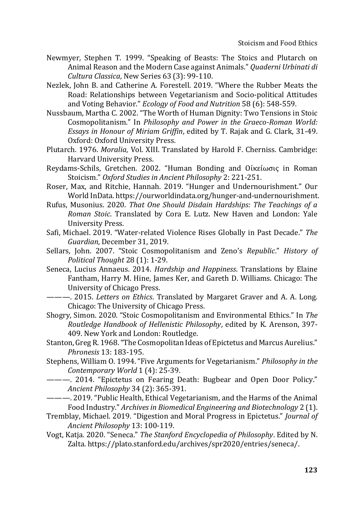- Newmyer, Stephen T. 1999. "Speaking of Beasts: The Stoics and Plutarch on Animal Reason and the Modern Case against Animals." *Quaderni Urbinati di Cultura Classica*, New Series 63 (3): 99-110.
- Nezlek, John B. and Catherine A. Forestell. 2019. "Where the Rubber Meats the Road: Relationships between Vegetarianism and Socio-political Attitudes and Voting Behavior." *Ecology of Food and Nutrition* 58 (6): 548-559.
- Nussbaum, Martha C. 2002. "The Worth of Human Dignity: Two Tensions in Stoic Cosmopolitanism." In *Philosophy and Power in the Graeco-Roman World: Essays in Honour of Miriam Griffin*, edited by T. Rajak and G. Clark, 31-49. Oxford: Oxford University Press.
- Plutarch. 1976. *Moralia*, Vol. XIII. Translated by Harold F. Cherniss. Cambridge: Harvard University Press.
- Reydams-Schils, Gretchen. 2002. "Human Bonding and Oἰκείωσις in Roman Stoicism." *Oxford Studies in Ancient Philosophy* 2: 221-251.
- Roser, Max, and Ritchie, Hannah. 2019. "Hunger and Undernourishment." Our World InData[. https://ourworldindata.org/hunger-and-undernourishment.](https://ourworldindata.org/hunger-and-undernourishment)
- Rufus, Musonius. 2020. *That One Should Disdain Hardships: The Teachings of a Roman Stoic*. Translated by Cora E. Lutz. New Haven and London: Yale University Press.
- Safi, Michael. 2019. "Water-related Violence Rises Globally in Past Decade." *The Guardian*, December 31, 2019.
- Sellars, John. 2007. "Stoic Cosmopolitanism and Zeno's *Republic*." *History of Political Thought* 28 (1): 1-29.
- Seneca, Lucius Annaeus. 2014. *Hardship and Happiness*. Translations by Elaine Fantham, Harry M. Hine, James Ker, and Gareth D. Williams. Chicago: The University of Chicago Press.
- ———. 2015. *Letters on Ethics*. Translated by Margaret Graver and A. A. Long. Chicago: The University of Chicago Press.
- Shogry, Simon. 2020. "Stoic Cosmopolitanism and Environmental Ethics." In *The Routledge Handbook of Hellenistic Philosophy*, edited by K. Arenson, 397- 409. New York and London: Routledge.
- Stanton, Greg R. 1968. "The Cosmopolitan Ideas of Epictetus and Marcus Aurelius." *Phronesis* 13: 183-195.
- Stephens, William O. 1994. "Five Arguments for Vegetarianism." *Philosophy in the Contemporary World* 1 (4): 25-39.
	- ———. 2014. "Epictetus on Fearing Death: Bugbear and Open Door Policy." *Ancient Philosophy* 34 (2): 365-391.
- ———. 2019. "[Public Health, Ethical Vegetarianism, and the Harms of the Animal](https://irispublishers.com/abeb/fulltext/public-health-ethical-vegetarianism-and-the-harms-of-the-animal-food-industry.ID.000529.php)  [Food Industry](https://irispublishers.com/abeb/fulltext/public-health-ethical-vegetarianism-and-the-harms-of-the-animal-food-industry.ID.000529.php)." *Archives in Biomedical Engineering and Biotechnology* 2 (1).
- Tremblay, Michael. 2019. "Digestion and Moral Progress in Epictetus." *Journal of Ancient Philosophy* 13: 100-119.
- Vogt, Katja. 2020. "Seneca." *The Stanford Encyclopedia of Philosophy*. Edited by N. Zalta[. https://plato.stanford.edu/archives/spr2020/entries/seneca/.](https://plato.stanford.edu/archives/spr2020/entries/seneca/)